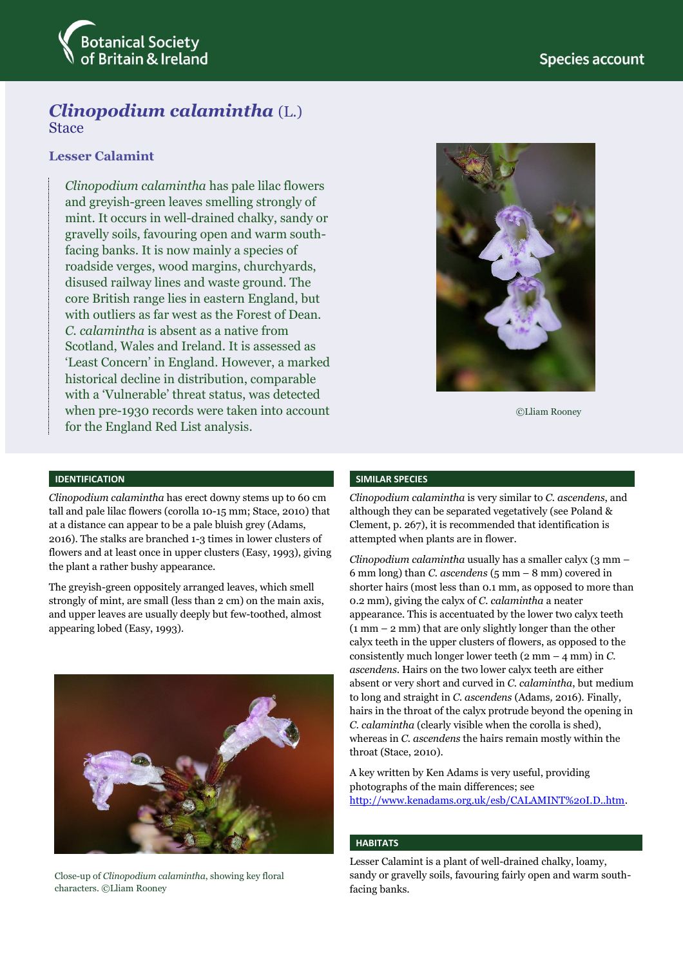

# *Clinopodium calamintha* (L.) **Stace**

# **Lesser Calamint**

*Clinopodium calamintha* has pale lilac flowers and greyish-green leaves smelling strongly of mint. It occurs in well-drained chalky, sandy or gravelly soils, favouring open and warm southfacing banks. It is now mainly a species of roadside verges, wood margins, churchyards, disused railway lines and waste ground. The core British range lies in eastern England, but with outliers as far west as the Forest of Dean. *C. calamintha* is absent as a native from Scotland, Wales and Ireland. It is assessed as 'Least Concern' in England. However, a marked historical decline in distribution, comparable with a 'Vulnerable' threat status, was detected when pre-1930 records were taken into account for the England Red List analysis.



©Lliam Rooney

#### **IDENTIFICATION**

*Clinopodium calamintha* has erect downy stems up to 60 cm tall and pale lilac flowers (corolla 10-15 mm; Stace, 2010) that at a distance can appear to be a pale bluish grey (Adams, 2016). The stalks are branched 1-3 times in lower clusters of flowers and at least once in upper clusters (Easy, 1993), giving the plant a rather bushy appearance.

The greyish-green oppositely arranged leaves, which smell strongly of mint, are small (less than 2 cm) on the main axis, and upper leaves are usually deeply but few-toothed, almost appearing lobed (Easy, 1993).



Close-up of *Clinopodium calamintha*, showing key floral characters. ©Lliam Rooney

#### **SIMILAR SPECIES**

*Clinopodium calamintha* is very similar to *C. ascendens*, and although they can be separated vegetatively (see Poland & Clement, p. 267), it is recommended that identification is attempted when plants are in flower.

*Clinopodium calamintha* usually has a smaller calyx (3 mm – 6 mm long) than *C. ascendens* (5 mm – 8 mm) covered in shorter hairs (most less than 0.1 mm, as opposed to more than 0.2 mm), giving the calyx of *C. calamintha* a neater appearance. This is accentuated by the lower two calyx teeth (1 mm – 2 mm) that are only slightly longer than the other calyx teeth in the upper clusters of flowers, as opposed to the consistently much longer lower teeth (2 mm – 4 mm) in *C. ascendens*. Hairs on the two lower calyx teeth are either absent or very short and curved in *C. calamintha*, but medium to long and straight in *C. ascendens* (Adams*,* 2016). Finally, hairs in the throat of the calyx protrude beyond the opening in *C. calamintha* (clearly visible when the corolla is shed), whereas in *C. ascendens* the hairs remain mostly within the throat (Stace, 2010).

A key written by Ken Adams is very useful, providing photographs of the main differences; see [http://www.kenadams.org.uk/esb/CALAMINT%20I.D..htm.](http://www.kenadams.org.uk/esb/CALAMINT%20I.D..htm)

#### **HABITATS**

Lesser Calamint is a plant of well-drained chalky, loamy, sandy or gravelly soils, favouring fairly open and warm southfacing banks.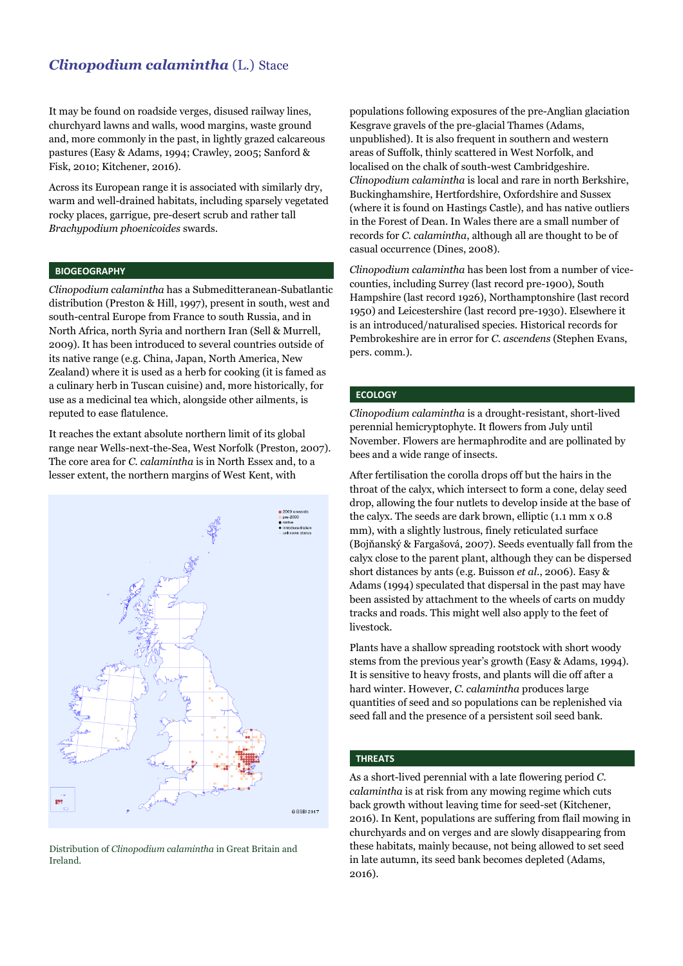# *Clinopodium calamintha* (L.) Stace

It may be found on roadside verges, disused railway lines, churchyard lawns and walls, wood margins, waste ground and, more commonly in the past, in lightly grazed calcareous pastures (Easy & Adams, 1994; Crawley, 2005; Sanford & Fisk, 2010; Kitchener, 2016).

Across its European range it is associated with similarly dry, warm and well-drained habitats, including sparsely vegetated rocky places, garrigue, pre-desert scrub and rather tall *Brachypodium phoenicoides* swards.

#### **BIOGEOGRAPHY**

*Clinopodium calamintha* has a Submeditteranean-Subatlantic distribution (Preston & Hill, 1997), present in south, west and south-central Europe from France to south Russia, and in North Africa, north Syria and northern Iran (Sell & Murrell, 2009). It has been introduced to several countries outside of its native range (e.g. China, Japan, North America, New Zealand) where it is used as a herb for cooking (it is famed as a culinary herb in Tuscan cuisine) and, more historically, for use as a medicinal tea which, alongside other ailments, is reputed to ease flatulence.

It reaches the extant absolute northern limit of its global range near Wells-next-the-Sea, West Norfolk (Preston, 2007). The core area for *C. calamintha* is in North Essex and, to a lesser extent, the northern margins of West Kent, with



Distribution of *Clinopodium calamintha* in Great Britain and Ireland.

populations following exposures of the pre-Anglian glaciation Kesgrave gravels of the pre-glacial Thames (Adams, unpublished). It is also frequent in southern and western areas of Suffolk, thinly scattered in West Norfolk, and localised on the chalk of south-west Cambridgeshire. *Clinopodium calamintha* is local and rare in north Berkshire, Buckinghamshire, Hertfordshire, Oxfordshire and Sussex (where it is found on Hastings Castle), and has native outliers in the Forest of Dean. In Wales there are a small number of records for *C. calamintha*, although all are thought to be of casual occurrence (Dines, 2008).

*Clinopodium calamintha* has been lost from a number of vicecounties, including Surrey (last record pre-1900), South Hampshire (last record 1926), Northamptonshire (last record 1950) and Leicestershire (last record pre-1930). Elsewhere it is an introduced/naturalised species. Historical records for Pembrokeshire are in error for *C. ascendens* (Stephen Evans, pers. comm.).

## **ECOLOGY**

*Clinopodium calamintha* is a drought-resistant, short-lived perennial hemicryptophyte. It flowers from July until November. Flowers are hermaphrodite and are pollinated by bees and a wide range of insects.

After fertilisation the corolla drops off but the hairs in the throat of the calyx, which intersect to form a cone, delay seed drop, allowing the four nutlets to develop inside at the base of the calyx. The seeds are dark brown, elliptic (1.1 mm x 0.8 mm), with a slightly lustrous, finely reticulated surface (Bojňanský & Fargašová, 2007). Seeds eventually fall from the calyx close to the parent plant, although they can be dispersed short distances by ants (e.g. Buisson *et al*., 2006). Easy & Adams (1994) speculated that dispersal in the past may have been assisted by attachment to the wheels of carts on muddy tracks and roads. This might well also apply to the feet of livestock.

Plants have a shallow spreading rootstock with short woody stems from the previous year's growth (Easy & Adams, 1994). It is sensitive to heavy frosts, and plants will die off after a hard winter. However, *C. calamintha* produces large quantities of seed and so populations can be replenished via seed fall and the presence of a persistent soil seed bank.

## **THREATS**

As a short-lived perennial with a late flowering period *C. calamintha* is at risk from any mowing regime which cuts back growth without leaving time for seed-set (Kitchener, 2016). In Kent, populations are suffering from flail mowing in churchyards and on verges and are slowly disappearing from these habitats, mainly because, not being allowed to set seed in late autumn, its seed bank becomes depleted (Adams, 2016).